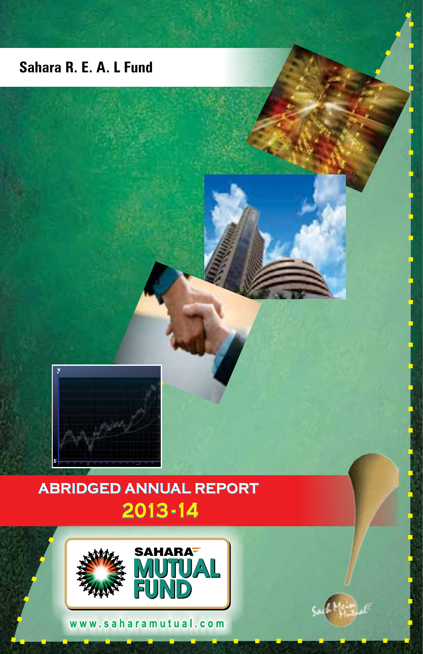## **Sahara R. E. A. L Fund**



# **ABRIDGED ANNUAL REPORT** 2013-14



www.saharamutual.com

Sach Mengler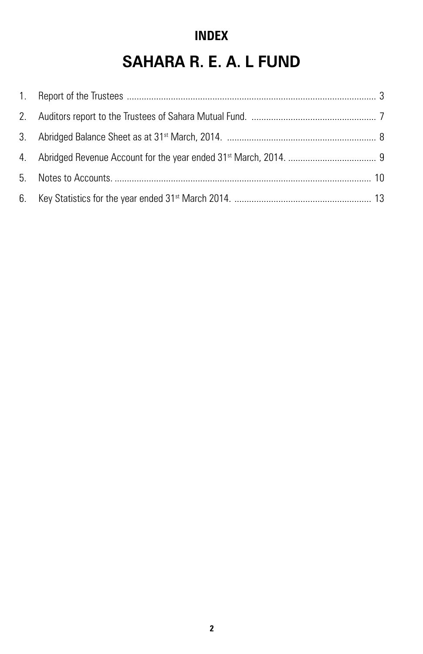# **INDEX SAHARA R. E. A. L FUND**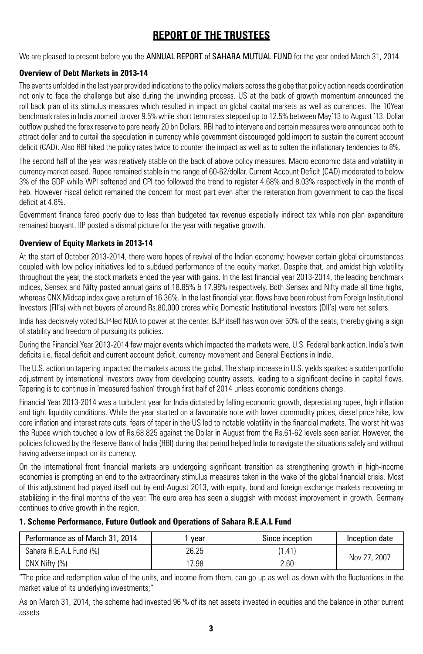### **REPORT OF THE TRUSTEES**

We are pleased to present before you the ANNUAL REPORT of SAHARA MUTUAL FUND for the year ended March 31, 2014.

#### **Overview of Debt Markets in 2013-14**

The events unfolded in the last year provided indications to the policy makers across the globe that policy action needs coordination not only to face the challenge but also during the unwinding process. US at the back of growth momentum announced the roll back plan of its stimulus measures which resulted in impact on global capital markets as well as currencies. The 10Year benchmark rates in India zoomed to over 9.5% while short term rates stepped up to 12.5% between May'13 to August '13. Dollar outflow pushed the forex reserve to pare nearly 20 bn Dollars. RBI had to intervene and certain measures were announced both to attract dollar and to curtail the speculation in currency while government discouraged gold import to sustain the current account deficit (CAD). Also RBI hiked the policy rates twice to counter the impact as well as to soften the inflationary tendencies to 8%.

The second half of the year was relatively stable on the back of above policy measures. Macro economic data and volatility in currency market eased. Rupee remained stable in the range of 60-62/dollar. Current Account Deficit (CAD) moderated to below 3% of the GDP while WPI softened and CPI too followed the trend to register 4.68% and 8.03% respectively in the month of Feb. However Fiscal deficit remained the concern for most part even after the reiteration from government to cap the fiscal deficit at 4.8%.

Government finance fared poorly due to less than budgeted tax revenue especially indirect tax while non plan expenditure remained buoyant. IIP posted a dismal picture for the year with negative growth.

#### **Overview of Equity Markets in 2013-14**

At the start of October 2013-2014, there were hopes of revival of the Indian economy; however certain global circumstances coupled with low policy initiatives led to subdued performance of the equity market. Despite that, and amidst high volatility throughout the year, the stock markets ended the year with gains. In the last financial year 2013-2014, the leading benchmark indices, Sensex and Nifty posted annual gains of 18.85% & 17.98% respectively. Both Sensex and Nifty made all time highs, whereas CNX Midcap index gave a return of 16.36%. In the last financial year, flows have been robust from Foreign Institutional Investors (FII's) with net buyers of around Rs.80,000 crores while Domestic Institutional Investors (DII's) were net sellers.

India has decisively voted BJP-led NDA to power at the center. BJP itself has won over 50% of the seats, thereby giving a sign of stability and freedom of pursuing its policies.

During the Financial Year 2013-2014 few major events which impacted the markets were, U.S. Federal bank action, India's twin deficits i.e. fiscal deficit and current account deficit, currency movement and General Elections in India.

The U.S. action on tapering impacted the markets across the global. The sharp increase in U.S. yields sparked a sudden portfolio adjustment by international investors away from developing country assets, leading to a significant decline in capital flows. Tapering is to continue in 'measured fashion' through first half of 2014 unless economic conditions change.

Financial Year 2013-2014 was a turbulent year for India dictated by falling economic growth, depreciating rupee, high inflation and tight liquidity conditions. While the year started on a favourable note with lower commodity prices, diesel price hike, low core inflation and interest rate cuts, fears of taper in the US led to notable volatility in the financial markets. The worst hit was the Rupee which touched a low of Rs.68.825 against the Dollar in August from the Rs.61-62 levels seen earlier. However, the policies followed by the Reserve Bank of India (RBI) during that period helped India to navigate the situations safely and without having adverse impact on its currency.

On the international front financial markets are undergoing significant transition as strengthening growth in high-income economies is prompting an end to the extraordinary stimulus measures taken in the wake of the global financial crisis. Most of this adjustment had played itself out by end-August 2013, with equity, bond and foreign exchange markets recovering or stabilizing in the final months of the year. The euro area has seen a sluggish with modest improvement in growth. Germany continues to drive growth in the region.

#### **1. Scheme Performance, Future Outlook and Operations of Sahara R.E.A.L Fund**

| Performance as of March 31, 2014 | vear          | Since inception | Inception date |
|----------------------------------|---------------|-----------------|----------------|
| Sahara R.E.A.L Fund (%)          | 26.25<br>1.41 |                 | Nov 27, 2007   |
| CNX Nifty (%)                    | 7.98          | 2.60            |                |

"The price and redemption value of the units, and income from them, can go up as well as down with the fluctuations in the market value of its underlying investments;"

As on March 31, 2014, the scheme had invested 96 % of its net assets invested in equities and the balance in other current assets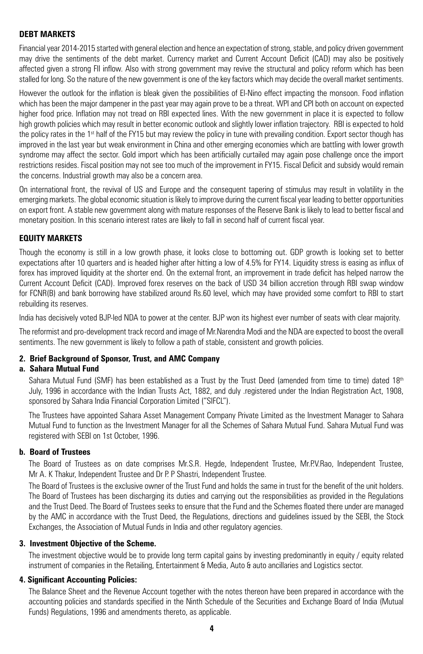#### **DEBT MARKETS**

Financial year 2014-2015 started with general election and hence an expectation of strong, stable, and policy driven government may drive the sentiments of the debt market. Currency market and Current Account Deficit (CAD) may also be positively affected given a strong FII inflow. Also with strong government may revive the structural and policy reform which has been stalled for long. So the nature of the new government is one of the key factors which may decide the overall market sentiments.

However the outlook for the inflation is bleak given the possibilities of El-Nino effect impacting the monsoon. Food inflation which has been the major dampener in the past year may again prove to be a threat. WPI and CPI both on account on expected higher food price. Inflation may not tread on RBI expected lines. With the new government in place it is expected to follow high growth policies which may result in better economic outlook and slightly lower inflation trajectory. RBI is expected to hold the policy rates in the 1<sup>st</sup> half of the FY15 but may review the policy in tune with prevailing condition. Export sector though has improved in the last year but weak environment in China and other emerging economies which are battling with lower growth syndrome may affect the sector. Gold import which has been artificially curtailed may again pose challenge once the import restrictions resides. Fiscal position may not see too much of the improvement in FY15. Fiscal Deficit and subsidy would remain the concerns. Industrial growth may also be a concern area.

On international front, the revival of US and Europe and the consequent tapering of stimulus may result in volatility in the emerging markets. The global economic situation is likely to improve during the current fiscal year leading to better opportunities on export front. A stable new government along with mature responses of the Reserve Bank is likely to lead to better fiscal and monetary position. In this scenario interest rates are likely to fall in second half of current fiscal year.

#### **EQUITY MARKETS**

Though the economy is still in a low growth phase, it looks close to bottoming out. GDP growth is looking set to better expectations after 10 quarters and is headed higher after hitting a low of 4.5% for FY14. Liquidity stress is easing as influx of forex has improved liquidity at the shorter end. On the external front, an improvement in trade deficit has helped narrow the Current Account Deficit (CAD). Improved forex reserves on the back of USD 34 billion accretion through RBI swap window for FCNR(B) and bank borrowing have stabilized around Rs.60 level, which may have provided some comfort to RBI to start rebuilding its reserves.

India has decisively voted BJP-led NDA to power at the center. BJP won its highest ever number of seats with clear majority.

The reformist and pro-development track record and image of Mr.Narendra Modi and the NDA are expected to boost the overall sentiments. The new government is likely to follow a path of stable, consistent and growth policies.

#### **2. Brief Background of Sponsor, Trust, and AMC Company**

#### **a. Sahara Mutual Fund**

Sahara Mutual Fund (SMF) has been established as a Trust by the Trust Deed (amended from time to time) dated  $18<sup>th</sup>$ July, 1996 in accordance with the Indian Trusts Act, 1882, and duly .registered under the Indian Registration Act, 1908, sponsored by Sahara India Financial Corporation Limited ("SIFCL").

The Trustees have appointed Sahara Asset Management Company Private Limited as the Investment Manager to Sahara Mutual Fund to function as the Investment Manager for all the Schemes of Sahara Mutual Fund. Sahara Mutual Fund was registered with SEBI on 1st October, 1996.

#### **b. Board of Trustees**

The Board of Trustees as on date comprises Mr.S.R. Hegde, Independent Trustee, Mr.P.V.Rao, Independent Trustee, Mr A. K Thakur, Independent Trustee and Dr P. P Shastri, Independent Trustee.

The Board of Trustees is the exclusive owner of the Trust Fund and holds the same in trust for the benefit of the unit holders. The Board of Trustees has been discharging its duties and carrying out the responsibilities as provided in the Regulations and the Trust Deed. The Board of Trustees seeks to ensure that the Fund and the Schemes floated there under are managed by the AMC in accordance with the Trust Deed, the Regulations, directions and guidelines issued by the SEBI, the Stock Exchanges, the Association of Mutual Funds in India and other regulatory agencies.

#### **3. Investment Objective of the Scheme.**

The investment objective would be to provide long term capital gains by investing predominantly in equity / equity related instrument of companies in the Retailing, Entertainment & Media, Auto & auto ancillaries and Logistics sector.

#### **4. Significant Accounting Policies:**

The Balance Sheet and the Revenue Account together with the notes thereon have been prepared in accordance with the accounting policies and standards specified in the Ninth Schedule of the Securities and Exchange Board of India (Mutual Funds) Regulations, 1996 and amendments thereto, as applicable.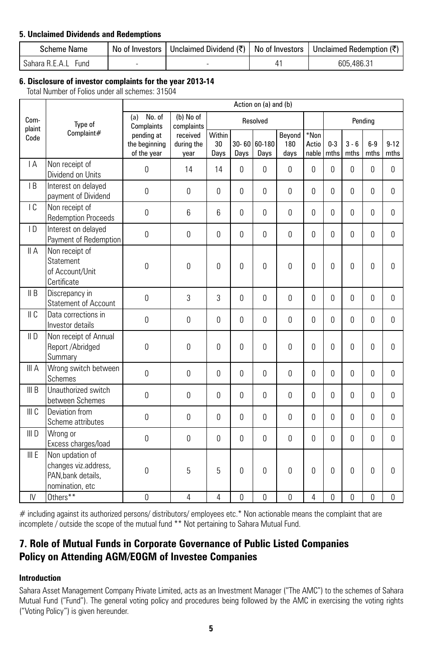#### **5. Unclaimed Dividends and Redemptions**

| Scheme Name             |  | No of Investors   Unclaimed Dividend (₹)   No of Investors   Unclaimed Redemption (₹) |
|-------------------------|--|---------------------------------------------------------------------------------------|
| `Sahara R E A L<br>Fund |  | 605.486.31                                                                            |

#### **6. Disclosure of investor complaints for the year 2013-14**

Total Number of Folios under all schemes: 31504

|                                                                                                 |                                                                                 |                                            | Action on (a) and (b)          |                             |                |                          |                       |                           |                 |                 |               |                  |
|-------------------------------------------------------------------------------------------------|---------------------------------------------------------------------------------|--------------------------------------------|--------------------------------|-----------------------------|----------------|--------------------------|-----------------------|---------------------------|-----------------|-----------------|---------------|------------------|
| (b) No of<br>No. of<br>(a)<br>Com-<br>Resolved<br>Type of<br>Complaints<br>complaints<br>plaint |                                                                                 |                                            |                                |                             |                | Pending                  |                       |                           |                 |                 |               |                  |
| Code                                                                                            | Complaint#                                                                      | pending at<br>the beginning<br>of the year | received<br>during the<br>year | <b>Within</b><br>30<br>Days | Days           | $30 - 60$ 60-180<br>Days | Beyond<br>180<br>days | $*$ Non<br>Actio<br>nable | $0 - 3$<br>mths | $3 - 6$<br>mths | $6-9$<br>mths | $9 - 12$<br>mths |
| IA                                                                                              | Non receipt of<br>Dividend on Units                                             | $\Omega$                                   | 14                             | 14                          | $\Omega$       | $\mathbf{0}$             | $\theta$              | 0                         | $\Omega$        | $\Omega$        | $\mathbf{0}$  | $\mathbf{0}$     |
| $\overline{AB}$                                                                                 | Interest on delayed<br>payment of Dividend                                      | $\overline{0}$                             | $\mathbf{0}$                   | $\mathbf{0}$                | $\theta$       | $\overline{0}$           | $\theta$              | 0                         | $\Omega$        | 0               | $\Omega$      | $\mathbf{0}$     |
| $\overline{C}$                                                                                  | Non receipt of<br><b>Redemption Proceeds</b>                                    | $\overline{0}$                             | 6                              | 6                           | $\theta$       | $\theta$                 | $\theta$              | 0                         | $\mathbf{0}$    | 0               | $\theta$      | $\theta$         |
| ID                                                                                              | Interest on delayed<br>Payment of Redemption                                    | $\overline{0}$                             | $\mathbf{0}$                   | $\mathbf{0}$                | $\Omega$       | $\overline{0}$           | $\theta$              | $\Omega$                  | $\Omega$        | $\Omega$        | $\Omega$      | $\Omega$         |
| II A                                                                                            | Non receipt of<br>Statement<br>of Account/Unit<br>Certificate                   | $\overline{0}$                             | $\Omega$                       | $\Omega$                    | $\Omega$       | $\overline{0}$           | $\theta$              | U                         | $\Omega$        | $\Omega$        | $\Omega$      | $\theta$         |
| $\parallel$ B                                                                                   | Discrepancy in<br>Statement of Account                                          | $\overline{0}$                             | 3                              | 3                           | $\overline{0}$ | $\mathbf{0}$             | $\theta$              | 0                         | $\Omega$        | U               | $\mathbf{0}$  | $\theta$         |
| II C                                                                                            | Data corrections in<br>Investor details                                         | $\overline{0}$                             | $\mathbf{0}$                   | $\mathbf{0}$                | $\overline{0}$ | $\mathbf{0}$             | $\theta$              | 0                         | $\Omega$        | 0               | $\theta$      | $\theta$         |
| II <sub>D</sub>                                                                                 | Non receipt of Annual<br>Report /Abridged<br>Summary                            | $\mathbf{0}$                               | 0                              | 0                           | 0              | $\overline{0}$           | $\theta$              | U                         | $\Omega$        | 0               | $\Omega$      | $\mathbf{0}$     |
| III A                                                                                           | Wrong switch between<br>Schemes                                                 | $\overline{0}$                             | $\mathbf{0}$                   | $\mathbf{0}$                | $\Omega$       | $\overline{0}$           | $\theta$              | 0                         | $\Omega$        | U               | $\mathbf{0}$  | $\theta$         |
| III B                                                                                           | Unauthorized switch<br>between Schemes                                          | $\overline{0}$                             | $\mathbf{0}$                   | $\mathbf{0}$                | $\overline{0}$ | $\theta$                 | $\theta$              | 0                         | $\Omega$        | U               | $\mathbf{0}$  | $\theta$         |
| III C                                                                                           | Deviation from<br>Scheme attributes                                             | $\overline{0}$                             | $\mathbf{0}$                   | $\mathbf{0}$                | $\overline{0}$ | $\mathbf{0}$             | 0                     | 0                         | $\Omega$        | 0               | $\theta$      | $\theta$         |
| III <sub>D</sub>                                                                                | Wrong or<br>Excess charges/load                                                 | $\overline{0}$                             | $\mathbf{0}$                   | $\mathbf{0}$                | $\Omega$       | $\overline{0}$           | $\theta$              | 0                         | $\Omega$        | U               | $\Omega$      | $\Omega$         |
| III E                                                                                           | Non updation of<br>changes viz.address,<br>PAN.bank details.<br>nomination, etc | $\overline{0}$                             | 5                              | 5                           | $\Omega$       | $\Omega$                 | $\theta$              | U                         | $\Omega$        | $\Omega$        | $\Omega$      | $\theta$         |
| IV                                                                                              | Others**                                                                        | $\overline{0}$                             | 4                              | 4                           | $\Omega$       | $\overline{0}$           | $\Omega$              | 4                         | $\Omega$        | $\Omega$        | $\Omega$      | $\theta$         |

# including against its authorized persons/ distributors/ employees etc.\* Non actionable means the complaint that are incomplete / outside the scope of the mutual fund \*\* Not pertaining to Sahara Mutual Fund.

#### **7. Role of Mutual Funds in Corporate Governance of Public Listed Companies Policy on Attending AGM/EOGM of Investee Companies**

#### **Introduction**

Sahara Asset Management Company Private Limited, acts as an Investment Manager ("The AMC") to the schemes of Sahara Mutual Fund ("Fund"). The general voting policy and procedures being followed by the AMC in exercising the voting rights ("Voting Policy") is given hereunder.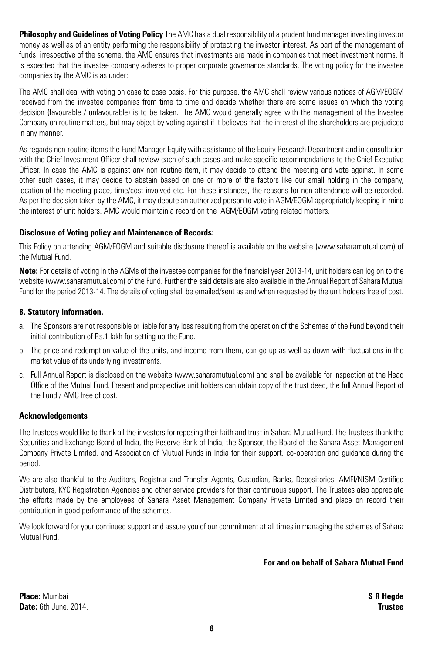**Philosophy and Guidelines of Voting Policy** The AMC has a dual responsibility of a prudent fund manager investing investor money as well as of an entity performing the responsibility of protecting the investor interest. As part of the management of funds, irrespective of the scheme, the AMC ensures that investments are made in companies that meet investment norms. It is expected that the investee company adheres to proper corporate governance standards. The voting policy for the investee companies by the AMC is as under:

The AMC shall deal with voting on case to case basis. For this purpose, the AMC shall review various notices of AGM/EOGM received from the investee companies from time to time and decide whether there are some issues on which the voting decision (favourable / unfavourable) is to be taken. The AMC would generally agree with the management of the Investee Company on routine matters, but may object by voting against if it believes that the interest of the shareholders are prejudiced in any manner.

As regards non-routine items the Fund Manager-Equity with assistance of the Equity Research Department and in consultation with the Chief Investment Officer shall review each of such cases and make specific recommendations to the Chief Executive Officer. In case the AMC is against any non routine item, it may decide to attend the meeting and vote against. In some other such cases, it may decide to abstain based on one or more of the factors like our small holding in the company, location of the meeting place, time/cost involved etc. For these instances, the reasons for non attendance will be recorded. As per the decision taken by the AMC, it may depute an authorized person to vote in AGM/EOGM appropriately keeping in mind the interest of unit holders. AMC would maintain a record on the AGM/EOGM voting related matters.

#### **Disclosure of Voting policy and Maintenance of Records:**

This Policy on attending AGM/EOGM and suitable disclosure thereof is available on the website (www.saharamutual.com) of the Mutual Fund.

**Note:** For details of voting in the AGMs of the investee companies for the financial year 2013-14, unit holders can log on to the website (www.saharamutual.com) of the Fund. Further the said details are also available in the Annual Report of Sahara Mutual Fund for the period 2013-14. The details of voting shall be emailed/sent as and when requested by the unit holders free of cost.

#### **8. Statutory Information.**

- a. The Sponsors are not responsible or liable for any loss resulting from the operation of the Schemes of the Fund beyond their initial contribution of Rs.1 lakh for setting up the Fund.
- b. The price and redemption value of the units, and income from them, can go up as well as down with fluctuations in the market value of its underlying investments.
- c. Full Annual Report is disclosed on the website (www.saharamutual.com) and shall be available for inspection at the Head Office of the Mutual Fund. Present and prospective unit holders can obtain copy of the trust deed, the full Annual Report of the Fund / AMC free of cost.

#### **Acknowledgements**

The Trustees would like to thank all the investors for reposing their faith and trust in Sahara Mutual Fund. The Trustees thank the Securities and Exchange Board of India, the Reserve Bank of India, the Sponsor, the Board of the Sahara Asset Management Company Private Limited, and Association of Mutual Funds in India for their support, co-operation and guidance during the period.

We are also thankful to the Auditors, Registrar and Transfer Agents, Custodian, Banks, Depositories, AMFI/NISM Certified Distributors, KYC Registration Agencies and other service providers for their continuous support. The Trustees also appreciate the efforts made by the employees of Sahara Asset Management Company Private Limited and place on record their contribution in good performance of the schemes.

We look forward for your continued support and assure you of our commitment at all times in managing the schemes of Sahara Mutual Fund.

**For and on behalf of Sahara Mutual Fund**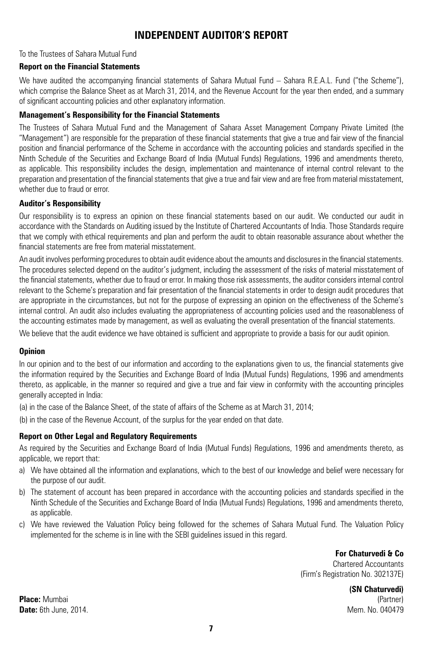#### **INDEPENDENT AUDITOR'S REPORT**

To the Trustees of Sahara Mutual Fund

#### **Report on the Financial Statements**

We have audited the accompanying financial statements of Sahara Mutual Fund – Sahara R.E.A.L. Fund ("the Scheme"), which comprise the Balance Sheet as at March 31, 2014, and the Revenue Account for the year then ended, and a summary of significant accounting policies and other explanatory information.

#### **Management's Responsibility for the Financial Statements**

The Trustees of Sahara Mutual Fund and the Management of Sahara Asset Management Company Private Limited (the "Management") are responsible for the preparation of these financial statements that give a true and fair view of the financial position and financial performance of the Scheme in accordance with the accounting policies and standards specified in the Ninth Schedule of the Securities and Exchange Board of India (Mutual Funds) Regulations, 1996 and amendments thereto, as applicable. This responsibility includes the design, implementation and maintenance of internal control relevant to the preparation and presentation of the financial statements that give a true and fair view and are free from material misstatement, whether due to fraud or error.

#### **Auditor's Responsibility**

Our responsibility is to express an opinion on these financial statements based on our audit. We conducted our audit in accordance with the Standards on Auditing issued by the Institute of Chartered Accountants of India. Those Standards require that we comply with ethical requirements and plan and perform the audit to obtain reasonable assurance about whether the financial statements are free from material misstatement.

An audit involves performing procedures to obtain audit evidence about the amounts and disclosures in the financial statements. The procedures selected depend on the auditor's judgment, including the assessment of the risks of material misstatement of the financial statements, whether due to fraud or error. In making those risk assessments, the auditor considers internal control relevant to the Scheme's preparation and fair presentation of the financial statements in order to design audit procedures that are appropriate in the circumstances, but not for the purpose of expressing an opinion on the effectiveness of the Scheme's internal control. An audit also includes evaluating the appropriateness of accounting policies used and the reasonableness of the accounting estimates made by management, as well as evaluating the overall presentation of the financial statements.

We believe that the audit evidence we have obtained is sufficient and appropriate to provide a basis for our audit opinion.

#### **Opinion**

In our opinion and to the best of our information and according to the explanations given to us, the financial statements give the information required by the Securities and Exchange Board of India (Mutual Funds) Regulations, 1996 and amendments thereto, as applicable, in the manner so required and give a true and fair view in conformity with the accounting principles generally accepted in India:

(a) in the case of the Balance Sheet, of the state of affairs of the Scheme as at March 31, 2014;

(b) in the case of the Revenue Account, of the surplus for the year ended on that date.

#### **Report on Other Legal and Regulatory Requirements**

As required by the Securities and Exchange Board of India (Mutual Funds) Regulations, 1996 and amendments thereto, as applicable, we report that:

- a) We have obtained all the information and explanations, which to the best of our knowledge and belief were necessary for the purpose of our audit.
- b) The statement of account has been prepared in accordance with the accounting policies and standards specified in the Ninth Schedule of the Securities and Exchange Board of India (Mutual Funds) Regulations, 1996 and amendments thereto, as applicable.
- c) We have reviewed the Valuation Policy being followed for the schemes of Sahara Mutual Fund. The Valuation Policy implemented for the scheme is in line with the SEBI guidelines issued in this regard.

**For Chaturvedi & Co**

Chartered Accountants (Firm's Registration No. 302137E)

> **(SN Chaturvedi)** (Partner) Mem. No. 040479

**Place:** Mumbai **Date:** 6th June, 2014.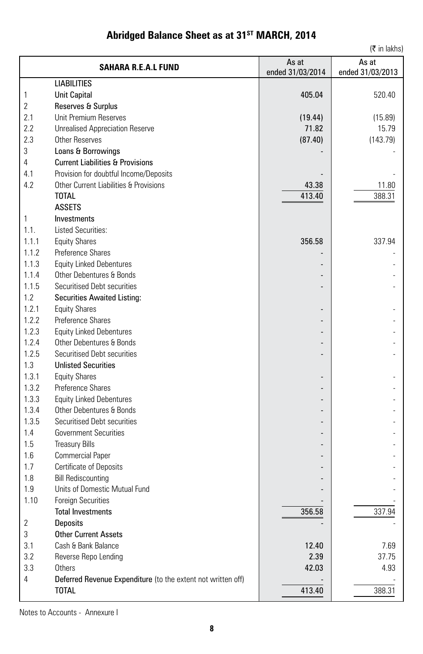### Abridged Balance Sheet as at 31<sup>st</sup> MARCH, 2014

|  |  | (₹ in lakhs) |  |
|--|--|--------------|--|
|  |  |              |  |

|                     | <b>SAHARA R.E.A.L FUND</b>                                   | As at            | (1, 1)<br>As at  |
|---------------------|--------------------------------------------------------------|------------------|------------------|
|                     |                                                              | ended 31/03/2014 | ended 31/03/2013 |
|                     | <b>LIABILITIES</b>                                           |                  |                  |
| 1<br>$\overline{2}$ | Unit Capital                                                 | 405.04           | 520.40           |
|                     | Reserves & Surplus                                           |                  |                  |
| 2.1                 | Unit Premium Reserves                                        | (19.44)          | (15.89)          |
| 2.2                 | Unrealised Appreciation Reserve                              | 71.82            | 15.79            |
| 2.3                 | <b>Other Reserves</b>                                        | (87.40)          | (143.79)         |
| 3                   | Loans & Borrowings                                           |                  |                  |
| 4                   | <b>Current Liabilities &amp; Provisions</b>                  |                  |                  |
| 4.1                 | Provision for doubtful Income/Deposits                       |                  |                  |
| 4.2                 | Other Current Liabilities & Provisions                       | 43.38            | 11.80            |
|                     | <b>TOTAL</b>                                                 | 413.40           | 388.31           |
|                     | <b>ASSETS</b>                                                |                  |                  |
| 1                   | Investments                                                  |                  |                  |
| 1.1.                | Listed Securities:                                           |                  |                  |
| 1.1.1               | <b>Equity Shares</b>                                         | 356.58           | 337.94           |
| 1.1.2               | Preference Shares                                            |                  |                  |
| 1.1.3               | <b>Equity Linked Debentures</b>                              |                  |                  |
| 1.1.4               | Other Debentures & Bonds                                     |                  |                  |
| 1.1.5               | Securitised Debt securities                                  |                  |                  |
| 1.2                 | <b>Securities Awaited Listing:</b>                           |                  |                  |
| 1.2.1               | <b>Equity Shares</b>                                         |                  |                  |
| 1.2.2               | Preference Shares                                            |                  |                  |
| 1.2.3               | <b>Equity Linked Debentures</b>                              |                  |                  |
| 1.2.4               | Other Debentures & Bonds                                     |                  |                  |
| 1.2.5               | Securitised Debt securities                                  |                  |                  |
| 1.3                 | <b>Unlisted Securities</b>                                   |                  |                  |
| 1.3.1               | <b>Equity Shares</b>                                         |                  |                  |
| 1.3.2               | Preference Shares                                            |                  |                  |
| 1.3.3               | <b>Equity Linked Debentures</b>                              |                  |                  |
| 1.3.4               | Other Debentures & Bonds                                     |                  |                  |
| 1.3.5               | Securitised Debt securities                                  |                  |                  |
| 1.4                 | Government Securities                                        |                  |                  |
| 1.5                 | <b>Treasury Bills</b>                                        |                  |                  |
| 1.6                 | <b>Commercial Paper</b>                                      |                  |                  |
| 1.7                 | Certificate of Deposits                                      |                  |                  |
| 1.8                 | <b>Bill Rediscounting</b>                                    |                  |                  |
| 1.9                 | Units of Domestic Mutual Fund                                |                  |                  |
| 1.10                | <b>Foreign Securities</b>                                    |                  |                  |
|                     | <b>Total Investments</b>                                     | 356.58           | 337.94           |
| 2                   | Deposits                                                     |                  |                  |
| 3                   | <b>Other Current Assets</b>                                  |                  |                  |
| 3.1                 | Cash & Bank Balance                                          | 12.40            | 7.69             |
| 3.2                 | Reverse Repo Lending                                         | 2.39             | 37.75            |
| 3.3                 | <b>Others</b>                                                | 42.03            | 4.93             |
| 4                   | Deferred Revenue Expenditure (to the extent not written off) |                  |                  |
|                     | <b>TOTAL</b>                                                 | 413.40           | 388.31           |
|                     |                                                              |                  |                  |

Notes to Accounts - Annexure I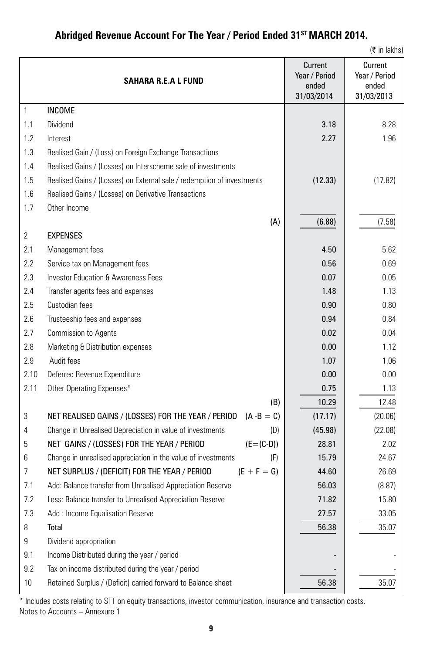### **Abridged Revenue Account For The Year / Period Ended 31ST MARCH 2014.**

 $(5$  in lakhs)

|                | <b>SAHARA R.E.A L FUND</b>                                             | Current<br>Year / Period<br>ended<br>31/03/2014 | Current<br>Year / Period<br>ended<br>31/03/2013 |
|----------------|------------------------------------------------------------------------|-------------------------------------------------|-------------------------------------------------|
| $\mathbf{1}$   | <b>INCOME</b>                                                          |                                                 |                                                 |
| 1.1            | Dividend                                                               | 3.18                                            | 8.28                                            |
| 1.2            | Interest                                                               | 2.27                                            | 1.96                                            |
| 1.3            | Realised Gain / (Loss) on Foreign Exchange Transactions                |                                                 |                                                 |
| 1.4            | Realised Gains / (Losses) on Interscheme sale of investments           |                                                 |                                                 |
| 1.5            | Realised Gains / (Losses) on External sale / redemption of investments | (12.33)                                         | (17.82)                                         |
| 1.6            | Realised Gains / (Losses) on Derivative Transactions                   |                                                 |                                                 |
| 1.7            | Other Income                                                           |                                                 |                                                 |
|                | (A)                                                                    | (6.88)                                          | (7.58)                                          |
| 2              | <b>EXPENSES</b>                                                        |                                                 |                                                 |
| 2.1            | Management fees                                                        | 4.50                                            | 5.62                                            |
| 2.2            | Service tax on Management fees                                         | 0.56                                            | 0.69                                            |
| 2.3            | Investor Education & Awareness Fees                                    | 0.07                                            | 0.05                                            |
| 2.4            | Transfer agents fees and expenses                                      | 1.48                                            | 1.13                                            |
| 2.5            | Custodian fees                                                         | 0.90                                            | 0.80                                            |
| 2.6            | Trusteeship fees and expenses                                          | 0.94                                            | 0.84                                            |
| 2.7            | <b>Commission to Agents</b>                                            | 0.02                                            | 0.04                                            |
| 2.8            | Marketing & Distribution expenses                                      | 0.00                                            | 1.12                                            |
| 2.9            | Audit fees                                                             | 1.07                                            | 1.06                                            |
| 2.10           | Deferred Revenue Expenditure                                           | 0.00                                            | 0.00                                            |
| 2.11           | Other Operating Expenses*                                              | 0.75                                            | 1.13                                            |
|                | (B)                                                                    | 10.29                                           | 12.48                                           |
| 3              | NET REALISED GAINS / (LOSSES) FOR THE YEAR / PERIOD<br>$(A - B = C)$   | (17.17)                                         | (20.06)                                         |
| 4              | Change in Unrealised Depreciation in value of investments<br>(D)       | (45.98)                                         | (22.08)                                         |
| 5              | NET GAINS / (LOSSES) FOR THE YEAR / PERIOD<br>$(E=(C-D))$              | 28.81                                           | 2.02                                            |
| 6              | Change in unrealised appreciation in the value of investments<br>(F)   | 15.79                                           | 24.67                                           |
| $\overline{7}$ | NET SURPLUS / (DEFICIT) FOR THE YEAR / PERIOD<br>$(E + F = G)$         | 44.60                                           | 26.69                                           |
| 7.1            | Add: Balance transfer from Unrealised Appreciation Reserve             | 56.03                                           | (8.87)                                          |
| 7.2            | Less: Balance transfer to Unrealised Appreciation Reserve              | 71.82                                           | 15.80                                           |
| 7.3            | Add: Income Equalisation Reserve                                       | 27.57                                           | 33.05                                           |
| 8              | Total                                                                  | 56.38                                           | 35.07                                           |
| 9              | Dividend appropriation                                                 |                                                 |                                                 |
| 9.1            | Income Distributed during the year / period                            |                                                 |                                                 |
| 9.2            | Tax on income distributed during the year / period                     |                                                 |                                                 |
| 10             | Retained Surplus / (Deficit) carried forward to Balance sheet          | 56.38                                           | 35.07                                           |

\* Includes costs relating to STT on equity transactions, investor communication, insurance and transaction costs. Notes to Accounts – Annexure 1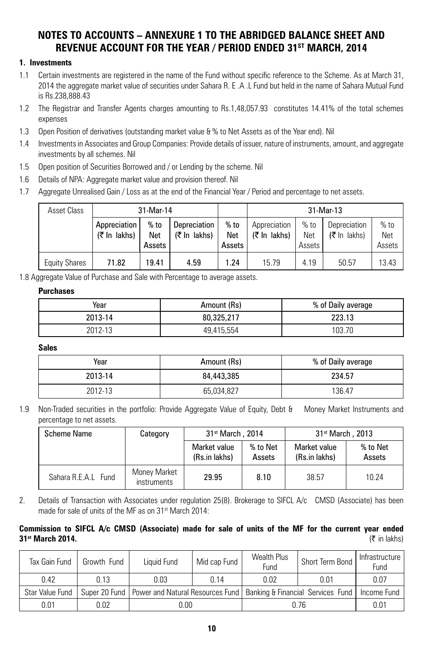### **NOTES TO ACCOUNTS – ANNEXURE 1 TO THE ABRIDGED BALANCE SHEET AND REVENUE ACCOUNT FOR THE YEAR / PERIOD ENDED 31ST MARCH, 2014**

#### **1. Investments**

- 1.1 Certain investments are registered in the name of the Fund without specific reference to the Scheme. As at March 31, 2014 the aggregate market value of securities under Sahara R. E .A .L Fund but held in the name of Sahara Mutual Fund is Rs.238,888.43
- 1.2 The Registrar and Transfer Agents charges amounting to Rs.1,48,057.93 constitutes 14.41% of the total schemes expenses
- 1.3 Open Position of derivatives (outstanding market value & % to Net Assets as of the Year end). Nil
- 1.4 Investments in Associates and Group Companies: Provide details of issuer, nature of instruments, amount, and aggregate investments by all schemes. Nil
- 1.5 Open position of Securities Borrowed and / or Lending by the scheme. Nil
- 1.6 Details of NPA: Aggregate market value and provision thereof. Nil
- 1.7 Aggregate Unrealised Gain / Loss as at the end of the Financial Year / Period and percentage to net assets.

| Asset Class          |              | 31-Mar-14 |                                |        | 31-Mar-13       |        |                                |        |
|----------------------|--------------|-----------|--------------------------------|--------|-----------------|--------|--------------------------------|--------|
|                      | Appreciation | $%$ to    | Depreciation                   | $%$ to | Appreciation    | $%$ to | Depreciation                   | $%$ to |
|                      | (₹ In lakhs) | Net       | $(5 \text{ ln} \text{ lakhs})$ | Net    | $($ ₹ In lakhs) | Net    | $(5 \text{ ln} \text{ lakhs})$ | Net    |
|                      |              | Assets    |                                | Assets |                 | Assets |                                | Assets |
| <b>Equity Shares</b> | 71.82        | 19.41     | 4.59                           | .24    | 15.79           | 4.19   | 50.57                          | 13.43  |

1.8 Aggregate Value of Purchase and Sale with Percentage to average assets.

#### **Purchases**

| Year    | Amount (Rs) | % of Daily average |
|---------|-------------|--------------------|
| 2013-14 | 80.325.217  | 223.13             |
| 2012-13 | 49,415,554  | 103.70             |

#### **Sales**

| Year    | Amount (Rs) | % of Daily average |
|---------|-------------|--------------------|
| 2013-14 | 84,443,385  | 234.57             |
| 2012-13 | 65.034.827  | 136.47             |

1.9 Non-Traded securities in the portfolio: Provide Aggregate Value of Equity, Debt & Money Market Instruments and percentage to net assets.

| Scheme Name         | Category                           | 31 <sup>st</sup> March, 2014  |                    | 31 <sup>st</sup> March, 2013  |                    |  |
|---------------------|------------------------------------|-------------------------------|--------------------|-------------------------------|--------------------|--|
|                     |                                    | Market value<br>(Rs.in lakhs) | % to Net<br>Assets | Market value<br>(Rs.in lakhs) | % to Net<br>Assets |  |
| Sahara R.F.A.I Fund | Money Market<br><i>instruments</i> | 29.95                         | 8.10               | 38.57                         | 10.24              |  |

2. Details of Transaction with Associates under regulation 25(8). Brokerage to SIFCL A/c CMSD (Associate) has been made for sale of units of the MF as on 31<sup>st</sup> March 2014:

#### **Commission to SIFCL A/c CMSD (Associate) made for sale of units of the MF for the current year ended 31st March 2014.**  $($ ₹ in lakhs)

| Tax Gain Fund   | Growth Fund | Liquid Fund                                                                                        | Mid cap Fund | Wealth Plus<br>Fund | Short Term Bond | . Infrastructure l<br>Fund |
|-----------------|-------------|----------------------------------------------------------------------------------------------------|--------------|---------------------|-----------------|----------------------------|
| 0.42            | 0.13        | 0.03                                                                                               | 0.14         | 0.02                | 0.01            | 0.07                       |
| Star Value Fund |             | Super 20 Fund   Power and Natural Resources Fund   Banking & Financial Services Fund   Income Fund |              |                     |                 |                            |
| 0.01            | 0.02        | 0.00                                                                                               |              | 0.76                | 0.01            |                            |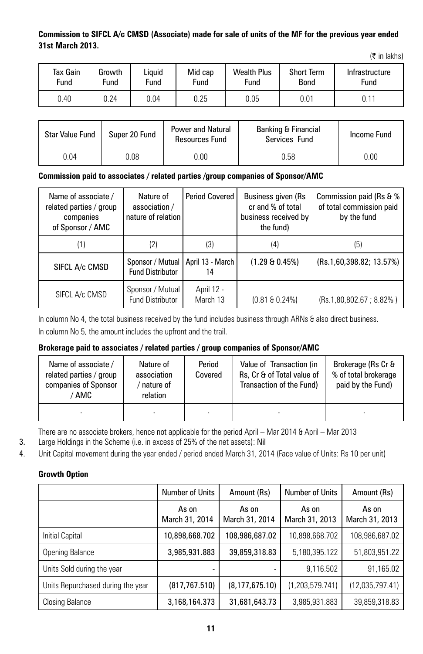#### **Commission to SIFCL A/c CMSD (Associate) made for sale of units of the MF for the previous year ended 31st March 2013.**

 $(5$  in lakhs)

| Tax Gain | Growth | Liauid | Mid cap | <b>Wealth Plus</b> | Short Term | Infrastructure |
|----------|--------|--------|---------|--------------------|------------|----------------|
| Fund     | Fund   | Fund   | Fund    | Fund               | Bond       | Fund           |
| 0.40     | 0.24   | 0.04   | 0.25    | 0.05               | 0.01       | 0.11           |

| Star Value Fund | Super 20 Fund | <b>Power and Natural</b><br>Resources Fund | <b>Banking &amp; Financial</b><br>Services Fund | Income Fund |
|-----------------|---------------|--------------------------------------------|-------------------------------------------------|-------------|
| 0.04            | 0.08          | 0.00                                       | 0.58                                            | 0.00        |

#### **Commission paid to associates / related parties /group companies of Sponsor/AMC**

| Name of associate /<br>related parties / group<br>companies<br>of Sponsor / AMC | Nature of<br>association /<br>nature of relation                 | <b>Period Covered</b>  | Business given (Rs<br>cr and % of total<br>business received by<br>the fund) | Commission paid (Rs & %<br>of total commission paid<br>by the fund |
|---------------------------------------------------------------------------------|------------------------------------------------------------------|------------------------|------------------------------------------------------------------------------|--------------------------------------------------------------------|
| (1)                                                                             |                                                                  | (3)                    | (4)                                                                          | (5)                                                                |
| SIFCL A/c CMSD                                                                  | Sponsor / Mutual   April 13 - March  <br><b>Fund Distributor</b> | 14                     | $(1.29 \& 0.45%)$                                                            | (Rs.1,60,398.82; 13.57%)                                           |
| SIFCL A/c CMSD                                                                  | Sponsor / Mutual<br><b>Fund Distributor</b>                      | April 12 -<br>March 13 | $(0.81 \& 0.24\%)$                                                           | (Rs.1,80,802.67; 8.82%)                                            |

In column No 4, the total business received by the fund includes business through ARNs & also direct business. In column No 5, the amount includes the upfront and the trail.

#### **Brokerage paid to associates / related parties / group companies of Sponsor/AMC**

| Name of associate /<br>related parties / group<br>companies of Sponsor<br>AMC | Nature of<br>association<br>$^{\prime}$ nature of<br>relation | Period<br>Covered | Value of Transaction (in<br>Rs, Cr & of Total value of<br>Transaction of the Fund) | Brokerage (Rs Cr &<br>% of total brokerage<br>paid by the Fund) |
|-------------------------------------------------------------------------------|---------------------------------------------------------------|-------------------|------------------------------------------------------------------------------------|-----------------------------------------------------------------|
|                                                                               |                                                               |                   |                                                                                    |                                                                 |

There are no associate brokers, hence not applicable for the period April – Mar 2014 & April – Mar 2013

3. Large Holdings in the Scheme (i.e. in excess of 25% of the net assets): Nil

4. Unit Capital movement during the year ended / period ended March 31, 2014 (Face value of Units: Rs 10 per unit)

#### **Growth Option**

|                                   | Number of Units         | Number of Units<br>Amount (Rs) |                         | Amount (Rs)             |
|-----------------------------------|-------------------------|--------------------------------|-------------------------|-------------------------|
|                                   | As on<br>March 31, 2014 | As on<br>March 31, 2014        | As on<br>March 31, 2013 | As on<br>March 31, 2013 |
| Initial Capital                   | 10,898,668.702          | 108,986,687.02                 | 10,898,668.702          | 108,986,687.02          |
| Opening Balance                   | 3,985,931.883           | 39,859,318.83                  | 5,180,395.122           | 51,803,951.22           |
| Units Sold during the year        |                         |                                | 9.116.502               | 91.165.02               |
| Units Repurchased during the year | (817, 767.510)          | (8, 177, 675, 10)              | (1,203,579.741)         | (12,035,797.41)         |
| <b>Closing Balance</b>            | 3,168,164.373           | 31,681,643.73                  | 3,985,931.883           | 39,859,318.83           |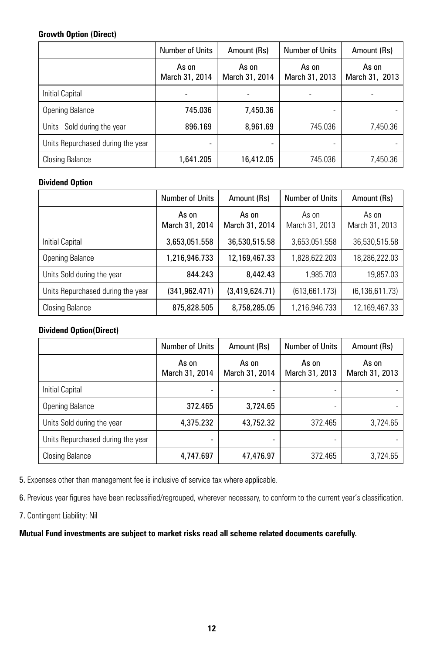#### **Growth Option (Direct)**

|                                   | Number of Units         | Number of Units<br>Amount (Rs) |                         | Amount (Rs)             |
|-----------------------------------|-------------------------|--------------------------------|-------------------------|-------------------------|
|                                   | As on<br>March 31, 2014 | As on<br>March 31, 2014        | As on<br>March 31, 2013 | As on<br>March 31, 2013 |
| Initial Capital                   |                         |                                |                         |                         |
| Opening Balance                   | 745.036                 | 7,450.36                       | -                       |                         |
| Units Sold during the year        | 896.169                 | 8,961.69                       | 745.036                 | 7.450.36                |
| Units Repurchased during the year | ۰                       |                                | -                       |                         |
| <b>Closing Balance</b>            | 1,641.205               | 16,412.05                      | 745.036                 | 7.450.36                |

#### **Dividend Option**

|                                   | Number of Units<br>Amount (Rs) |                         | Number of Units         | Amount (Rs)             |
|-----------------------------------|--------------------------------|-------------------------|-------------------------|-------------------------|
|                                   | As on<br>March 31, 2014        | As on<br>March 31, 2014 | As on<br>March 31, 2013 | As on<br>March 31, 2013 |
| Initial Capital                   | 3,653,051.558                  | 36,530,515.58           | 3,653,051.558           | 36,530,515.58           |
| Opening Balance                   | 1,216,946.733                  | 12,169,467.33           | 1,828,622.203           | 18,286,222.03           |
| Units Sold during the year        | 844.243                        | 8,442.43                | 1.985.703               | 19.857.03               |
| Units Repurchased during the year | (341, 962.471)                 | (3,419,624.71)          | (613, 661.173)          | (6, 136, 611, 73)       |
| <b>Closing Balance</b>            | 875,828.505                    | 8,758,285.05            | 1,216,946.733           | 12,169,467.33           |

#### **Dividend Option(Direct)**

|                                   | Number of Units         | Amount (Rs)             | Number of Units         | Amount (Rs)             |
|-----------------------------------|-------------------------|-------------------------|-------------------------|-------------------------|
|                                   | As on<br>March 31, 2014 | As on<br>March 31, 2014 | As on<br>March 31, 2013 | As on<br>March 31, 2013 |
| Initial Capital                   |                         | -                       |                         |                         |
| Opening Balance                   | 372.465                 | 3,724.65                |                         |                         |
| Units Sold during the year        | 4,375.232               | 43.752.32               | 372.465                 | 3,724.65                |
| Units Repurchased during the year | -                       |                         |                         |                         |
| Closing Balance                   | 4.747.697               | 47,476.97               | 372.465                 | 3,724.65                |

5. Expenses other than management fee is inclusive of service tax where applicable.

6. Previous year figures have been reclassified/regrouped, wherever necessary, to conform to the current year's classification.

7. Contingent Liability: Nil

#### **Mutual Fund investments are subject to market risks read all scheme related documents carefully.**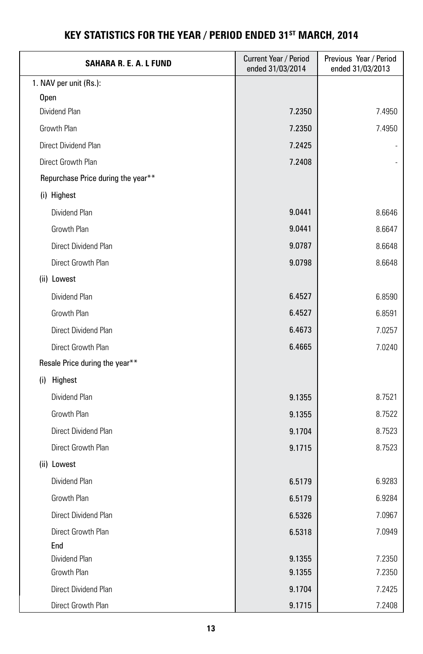### **KEY STATISTICS FOR THE YEAR / PERIOD ENDED 31ST MARCH, 2014**

| SAHARA R. E. A. L FUND             | Current Year / Period<br>ended 31/03/2014 | Previous Year / Period<br>ended 31/03/2013 |
|------------------------------------|-------------------------------------------|--------------------------------------------|
| 1. NAV per unit (Rs.):             |                                           |                                            |
| <b>Open</b>                        |                                           |                                            |
| Dividend Plan                      | 7.2350                                    | 7.4950                                     |
| Growth Plan                        | 7.2350                                    | 7.4950                                     |
| Direct Dividend Plan               | 7.2425                                    |                                            |
| Direct Growth Plan                 | 7.2408                                    |                                            |
| Repurchase Price during the year** |                                           |                                            |
| (i) Highest                        |                                           |                                            |
| Dividend Plan                      | 9.0441                                    | 8.6646                                     |
| Growth Plan                        | 9.0441                                    | 8.6647                                     |
| Direct Dividend Plan               | 9.0787                                    | 8.6648                                     |
| Direct Growth Plan                 | 9.0798                                    | 8.6648                                     |
| (ii) Lowest                        |                                           |                                            |
| Dividend Plan                      | 6.4527                                    | 6.8590                                     |
| Growth Plan                        | 6.4527                                    | 6.8591                                     |
| Direct Dividend Plan               | 6.4673                                    | 7.0257                                     |
| Direct Growth Plan                 | 6.4665                                    | 7.0240                                     |
| Resale Price during the year**     |                                           |                                            |
| (i) Highest                        |                                           |                                            |
| Dividend Plan                      | 9.1355                                    | 8.7521                                     |
| Growth Plan                        | 9.1355                                    | 8.7522                                     |
| Direct Dividend Plan               | 9.1704                                    | 8.7523                                     |
| Direct Growth Plan                 | 9.1715                                    | 8.7523                                     |
| (ii) Lowest                        |                                           |                                            |
| Dividend Plan                      | 6.5179                                    | 6.9283                                     |
| Growth Plan                        | 6.5179                                    | 6.9284                                     |
| Direct Dividend Plan               | 6.5326                                    | 7.0967                                     |
| Direct Growth Plan                 | 6.5318                                    | 7.0949                                     |
| End                                |                                           |                                            |
| Dividend Plan                      | 9.1355                                    | 7.2350                                     |
| Growth Plan                        | 9.1355                                    | 7.2350                                     |
| Direct Dividend Plan               | 9.1704                                    | 7.2425                                     |
| Direct Growth Plan                 | 9.1715                                    | 7.2408                                     |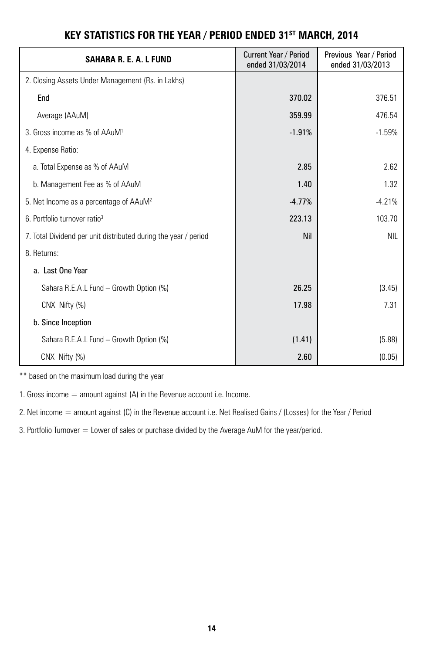### **KEY STATISTICS FOR THE YEAR / PERIOD ENDED 31ST MARCH, 2014**

| <b>SAHARA R. E. A. L FUND</b>                                   | Current Year / Period<br>ended 31/03/2014 | Previous Year / Period<br>ended 31/03/2013 |
|-----------------------------------------------------------------|-------------------------------------------|--------------------------------------------|
| 2. Closing Assets Under Management (Rs. in Lakhs)               |                                           |                                            |
| End                                                             | 370.02                                    | 376.51                                     |
| Average (AAuM)                                                  | 359.99                                    | 476.54                                     |
| 3. Gross income as % of AAuM <sup>1</sup>                       | $-1.91%$                                  | $-1.59%$                                   |
| 4. Expense Ratio:                                               |                                           |                                            |
| a. Total Expense as % of AAuM                                   | 2.85                                      | 2.62                                       |
| b. Management Fee as % of AAuM                                  | 1.40                                      | 1.32                                       |
| 5. Net Income as a percentage of AAuM <sup>2</sup>              | $-4.77%$                                  | $-4.21%$                                   |
| 6. Portfolio turnover ratio <sup>3</sup>                        | 223.13                                    | 103.70                                     |
| 7. Total Dividend per unit distributed during the year / period | Nil                                       | <b>NII</b>                                 |
| 8. Returns:                                                     |                                           |                                            |
| a. Last One Year                                                |                                           |                                            |
| Sahara R.E.A.L Fund - Growth Option (%)                         | 26.25                                     | (3.45)                                     |
| CNX Nifty (%)                                                   | 17.98                                     | 7.31                                       |
| b. Since Inception                                              |                                           |                                            |
| Sahara R.E.A.L Fund - Growth Option (%)                         | (1.41)                                    | (5.88)                                     |
| CNX Nifty (%)                                                   | 2.60                                      | (0.05)                                     |

\*\* based on the maximum load during the year

1. Gross income  $=$  amount against (A) in the Revenue account i.e. Income.

2. Net income = amount against (C) in the Revenue account i.e. Net Realised Gains / (Losses) for the Year / Period

3. Portfolio Turnover = Lower of sales or purchase divided by the Average AuM for the year/period.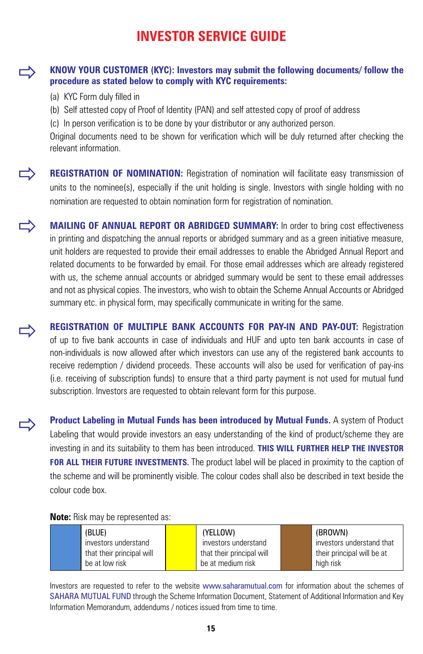### **INVESTOR SERVICE GUIDE**

#### **KNOW YOUR CUSTOMER (KYC): Investors may submit the following documents/ follow the procedure as stated below to comply with KYC requirements:**

(a) KYC Form duly filled in

二、

- (b) Self attested copy of Proof of Identity (PAN) and self attested copy of proof of address
- (c) In person verification is to be done by your distributor or any authorized person.

Original documents need to be shown for verification which will be duly returned after checking the relevant information.

**REGISTRATION OF NOMINATION:** Registration of nomination will facilitate easy transmission of units to the nominee(s), especially if the unit holding is single. Investors with single holding with no nomination are requested to obtain nomination form for registration of nomination.

**MAILING OF ANNUAL REPORT OR ABRIDGED SUMMARY:** In order to bring cost effectiveness in printing and dispatching the annual reports or abridged summary and as a green initiative measure, unit holders are requested to provide their email addresses to enable the Abridged Annual Report and related documents to be forwarded by email. For those email addresses which are already registered with us, the scheme annual accounts or abridged summary would be sent to these email addresses and not as physical copies. The investors, who wish to obtain the Scheme Annual Accounts or Abridged summary etc. in physical form, may specifically communicate in writing for the same.

**REGISTRATION OF MULTIPLE BANK ACCOUNTS FOR PAY-IN AND PAY-OUT:** Registration of up to five bank accounts in case of individuals and HUF and upto ten bank accounts in case of non-individuals is now allowed after which investors can use any of the registered bank accounts to receive redemption / dividend proceeds. These accounts will also be used for verification of pay-ins (i.e. receiving of subscription funds) to ensure that a third party payment is not used for mutual fund subscription. Investors are requested to obtain relevant form for this purpose.

 **Product Labeling in Mutual Funds has been introduced by Mutual Funds.** A system of Product Labeling that would provide investors an easy understanding of the kind of product/scheme they are investing in and its suitability to them has been introduced. **THIS WILL FURTHER HELP THE INVESTOR FOR ALL THEIR FUTURE INVESTMENTS.** The product label will be placed in proximity to the caption of the scheme and will be prominently visible. The colour codes shall also be described in text beside the colour code box.

#### **Note:** Risk may be represented as:

| (BLUE)                    | (YELLOW)                  | (BROWN)                    |
|---------------------------|---------------------------|----------------------------|
| investors understand      | investors understand      | investors understand that  |
| that their principal will | that their principal will | their principal will be at |
| be at low risk            | be at medium risk         | high risk                  |

Investors are requested to refer to the website www.saharamutual.com for information about the schemes of SAHARA MUTUAL FUND through the Scheme Information Document, Statement of Additional Information and Key Information Memorandum, addendums / notices issued from time to time.